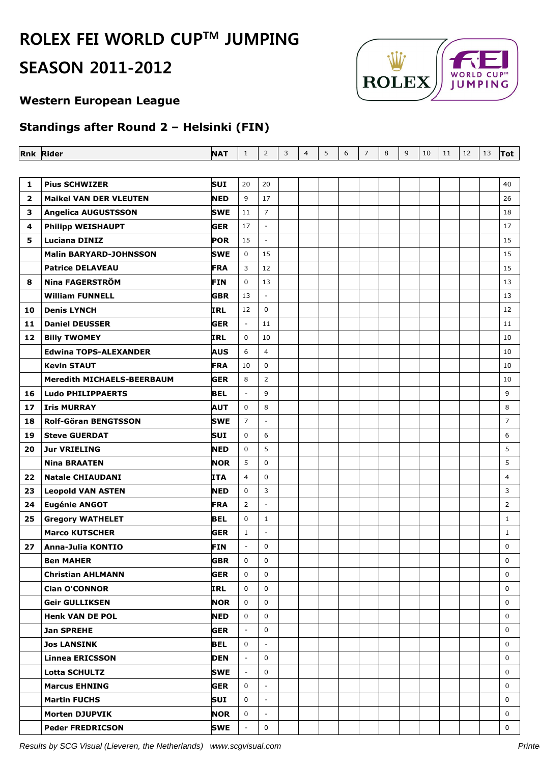# **ROLEX FEI WORLD CUPTM JUMPING SEASON 2011-2012**



### **Western European League**

## **Standings after Round 2 – Helsinki (FIN)**

|              | <b>Rnk Rider</b>              | <b>NAT</b> | $\mathbf{1}$             | $\overline{2}$              | 3 | $\overline{4}$ | 5 | 6 | $\overline{7}$ | 8 | 9 | 10 | 11 | 12 | 13 | Tot            |
|--------------|-------------------------------|------------|--------------------------|-----------------------------|---|----------------|---|---|----------------|---|---|----|----|----|----|----------------|
|              |                               |            |                          |                             |   |                |   |   |                |   |   |    |    |    |    |                |
| 1            | <b>Pius SCHWIZER</b>          | SUI        | 20                       | 20                          |   |                |   |   |                |   |   |    |    |    |    | 40             |
| $\mathbf{2}$ | <b>Maikel VAN DER VLEUTEN</b> | <b>NED</b> | 9                        | 17                          |   |                |   |   |                |   |   |    |    |    |    | 26             |
| 3            | <b>Angelica AUGUSTSSON</b>    | <b>SWE</b> | 11                       | $\overline{7}$              |   |                |   |   |                |   |   |    |    |    |    | 18             |
| 4            | <b>Philipp WEISHAUPT</b>      | <b>GER</b> | 17                       | $\overline{\phantom{a}}$    |   |                |   |   |                |   |   |    |    |    |    | 17             |
| 5.           | <b>Luciana DINIZ</b>          | <b>POR</b> | 15                       | $\overline{\phantom{a}}$    |   |                |   |   |                |   |   |    |    |    |    | 15             |
|              | <b>Malin BARYARD-JOHNSSON</b> | <b>SWE</b> | 0                        | 15                          |   |                |   |   |                |   |   |    |    |    |    | 15             |
|              | <b>Patrice DELAVEAU</b>       | <b>FRA</b> | 3                        | 12                          |   |                |   |   |                |   |   |    |    |    |    | 15             |
| 8            | <b>Nina FAGERSTRÖM</b>        | <b>FIN</b> | 0                        | 13                          |   |                |   |   |                |   |   |    |    |    |    | 13             |
|              | <b>William FUNNELL</b>        | <b>GBR</b> | 13                       | $\omega$                    |   |                |   |   |                |   |   |    |    |    |    | 13             |
| 10           | <b>Denis LYNCH</b>            | <b>IRL</b> | 12                       | $\mathbf 0$                 |   |                |   |   |                |   |   |    |    |    |    | 12             |
| 11           | <b>Daniel DEUSSER</b>         | <b>GER</b> | $\blacksquare$           | 11                          |   |                |   |   |                |   |   |    |    |    |    | 11             |
| 12           | <b>Billy TWOMEY</b>           | <b>IRL</b> | 0                        | 10                          |   |                |   |   |                |   |   |    |    |    |    | 10             |
|              | <b>Edwina TOPS-ALEXANDER</b>  | <b>AUS</b> | 6                        | $\overline{4}$              |   |                |   |   |                |   |   |    |    |    |    | 10             |
|              | <b>Kevin STAUT</b>            | <b>FRA</b> | 10                       | $\mathbf 0$                 |   |                |   |   |                |   |   |    |    |    |    | 10             |
|              | Meredith MICHAELS-BEERBAUM    | <b>GER</b> | 8                        | $\overline{2}$              |   |                |   |   |                |   |   |    |    |    |    | 10             |
| 16           | <b>Ludo PHILIPPAERTS</b>      | <b>BEL</b> | $\overline{\phantom{a}}$ | 9                           |   |                |   |   |                |   |   |    |    |    |    | 9              |
| 17           | <b>Iris MURRAY</b>            | AUT        | $\mathbf 0$              | 8                           |   |                |   |   |                |   |   |    |    |    |    | 8              |
| 18           | <b>Rolf-Göran BENGTSSON</b>   | <b>SWE</b> | $\overline{7}$           | $\blacksquare$              |   |                |   |   |                |   |   |    |    |    |    | $\overline{7}$ |
| 19           | <b>Steve GUERDAT</b>          | SUI        | 0                        | 6                           |   |                |   |   |                |   |   |    |    |    |    | 6              |
| 20           | <b>Jur VRIELING</b>           | <b>NED</b> | 0                        | 5                           |   |                |   |   |                |   |   |    |    |    |    | 5              |
|              | <b>Nina BRAATEN</b>           | <b>NOR</b> | 5                        | $\mathbf 0$                 |   |                |   |   |                |   |   |    |    |    |    | 5              |
| 22           | <b>Natale CHIAUDANI</b>       | <b>ITA</b> | $\overline{4}$           | 0                           |   |                |   |   |                |   |   |    |    |    |    | 4              |
| 23           | <b>Leopold VAN ASTEN</b>      | <b>NED</b> | $\mathbf 0$              | 3                           |   |                |   |   |                |   |   |    |    |    |    | 3              |
| 24           | <b>Eugénie ANGOT</b>          | <b>FRA</b> | $\overline{2}$           | $\omega$                    |   |                |   |   |                |   |   |    |    |    |    | $\overline{2}$ |
| 25           | <b>Gregory WATHELET</b>       | <b>BEL</b> | $\mathbf 0$              | $\mathbf{1}$                |   |                |   |   |                |   |   |    |    |    |    | $\mathbf{1}$   |
|              | <b>Marco KUTSCHER</b>         | <b>GER</b> | $\mathbf{1}$             | $\overline{\phantom{a}}$    |   |                |   |   |                |   |   |    |    |    |    | $\mathbf{1}$   |
| 27           | Anna-Julia KONTIO             | <b>FIN</b> | ÷,                       | $\mathbf 0$                 |   |                |   |   |                |   |   |    |    |    |    | $\mathbf 0$    |
|              | <b>Ben MAHER</b>              | <b>GBR</b> | 0                        | 0                           |   |                |   |   |                |   |   |    |    |    |    | 0              |
|              | <b>Christian AHLMANN</b>      | <b>GER</b> | 0                        | $\mathbf 0$                 |   |                |   |   |                |   |   |    |    |    |    | $\Omega$       |
|              | <b>Cian O'CONNOR</b>          | IRL        | $\mathbf 0$              | $\mathbf 0$                 |   |                |   |   |                |   |   |    |    |    |    | 0              |
|              | <b>Geir GULLIKSEN</b>         | NOR        | 0                        | 0                           |   |                |   |   |                |   |   |    |    |    |    | $\Omega$       |
|              | <b>Henk VAN DE POL</b>        | <b>NED</b> | 0                        | $\mathbf 0$                 |   |                |   |   |                |   |   |    |    |    |    | 0              |
|              | <b>Jan SPREHE</b>             | <b>GER</b> | $\sim$                   | 0                           |   |                |   |   |                |   |   |    |    |    |    | 0              |
|              | <b>Jos LANSINK</b>            | <b>BEL</b> | 0                        | $\sim$                      |   |                |   |   |                |   |   |    |    |    |    | $\mathbf 0$    |
|              | <b>Linnea ERICSSON</b>        | <b>DEN</b> | $\blacksquare$           | $\mathbf 0$                 |   |                |   |   |                |   |   |    |    |    |    | 0              |
|              | <b>Lotta SCHULTZ</b>          | SWE        | $\overline{\phantom{a}}$ | 0                           |   |                |   |   |                |   |   |    |    |    |    | 0              |
|              | <b>Marcus EHNING</b>          | <b>GER</b> | $\mathbf{0}$             | $\mathcal{L}_{\mathcal{A}}$ |   |                |   |   |                |   |   |    |    |    |    | $\mathbf 0$    |
|              | <b>Martin FUCHS</b>           | SUI        | 0                        | $\sim$                      |   |                |   |   |                |   |   |    |    |    |    | 0              |
|              | <b>Morten DJUPVIK</b>         | <b>NOR</b> | 0                        | $\overline{\phantom{a}}$    |   |                |   |   |                |   |   |    |    |    |    | $\mathbf 0$    |
|              | <b>Peder FREDRICSON</b>       | <b>SWE</b> | $\overline{\phantom{a}}$ | 0                           |   |                |   |   |                |   |   |    |    |    |    | 0              |